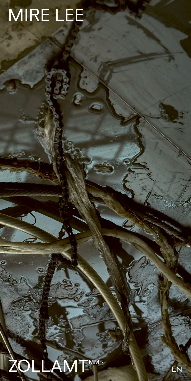## MIRE LEE

## ZOLLAMT<sup>MMK</sup>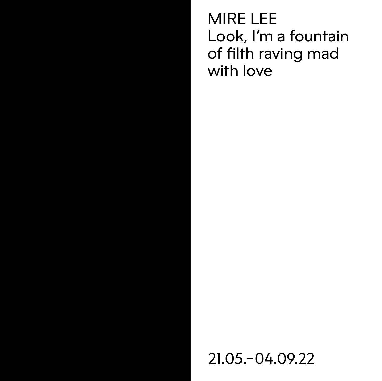MIRE LEE Look, I'm a fountain of filth raving mad with love

21.05.–04.09.22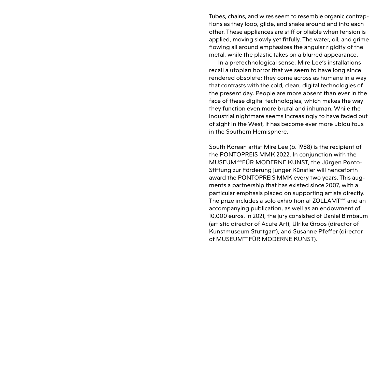Tubes, chains, and wires seem to resemble organic contraptions as they loop, glide, and snake around and into each other. These appliances are stiff or pliable when tension is applied, moving slowly yet fitfully. The water, oil, and grime flowing all around emphasizes the angular rigidity of the metal, while the plastic takes on a blurred appearance.

In a pretechnological sense, Mire Lee's installations recall a utopian horror that we seem to have long since rendered obsolete; they come across as humane in a way that contrasts with the cold, clean, digital technologies of the present day. People are more absent than ever in the face of these digital technologies, which makes the way they function even more brutal and inhuman. While the industrial nightmare seems increasingly to have faded out of sight in the West, it has become ever more ubiquitous in the Southern Hemisphere.

South Korean artist Mire Lee (b. 1988) is the recipient of the PONTOPREIS MMK 2022. In conjunction with the MUSEUM MKFÜR MODERNE KUNST, the Jürgen Ponto-Stiftung zur Förderung junger Künstler will henceforth award the PONTOPREIS MMK every two years. This augments a partnership that has existed since 2007, with a particular emphasis placed on supporting artists directly. The prize includes a solo exhibition at ZOLLAMT<sup>MMK</sup> and an accompanying publication, as well as an endowment of 10,000 euros. In 2021, the jury consisted of Daniel Birnbaum (artistic director of Acute Art), Ulrike Groos (director of Kunstmuseum Stuttgart), and Susanne Pfeffer (director of MUSEUM METÜR MODERNE KUNST).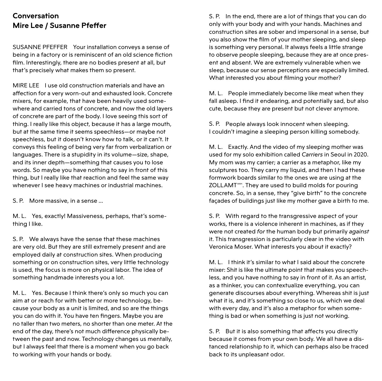## **Conversation Mire Lee / Susanne Pfeffer**

SUSANNE PFEFFER Your installation conveys a sense of being in a factory or is reminiscent of an old science fiction film. Interestingly, there are no bodies present at all, but that's precisely what makes them so present.

MIRE LEE I use old construction materials and have an affection for a very worn-out and exhausted look. Concrete mixers, for example, that have been heavily used somewhere and carried tons of concrete, and now the old layers of concrete are part of the body. I love seeing this sort of thing. I really like this object, because it has a large mouth, but at the same time it seems speechless—or maybe not speechless, but it doesn't know how to talk, or it can't. It conveys this feeling of being very far from verbalization or languages. There is a stupidity in its volume—size, shape, and its inner depth—something that causes you to lose words. So maybe you have nothing to say in front of this thing, but I really like that reaction and feel the same way whenever I see heavy machines or industrial machines.

S. P. More massive, in a sense …

M. L. Yes, exactly! Massiveness, perhaps, that's something I like.

S. P. We always have the sense that these machines are very old. But they are still extremely present and are employed daily at construction sites. When producing something or on construction sites, very little technology is used, the focus is more on physical labor. The idea of something handmade interests you a lot.

M. L. Yes. Because I think there's only so much you can aim at or reach for with better or more technology, because your body as a unit is limited, and so are the things you can do with it. You have ten fingers. Maybe you are no taller than two meters, no shorter than one meter. At the end of the day, there's not much difference physically between the past and now. Technology changes us mentally, but I always feel that there is a moment when you go back to working with your hands or body.

S. P. In the end, there are a lot of things that you can do only with your body and with your hands. Machines and construction sites are sober and impersonal in a sense, but you also show the film of your mother sleeping, and sleep is something very personal. It always feels a little strange to observe people sleeping, because they are at once present and absent. We are extremely vulnerable when we sleep, because our sense perceptions are especially limited. What interested you about filming your mother?

M. L. People immediately become like meat when they fall asleep. I find it endearing, and potentially sad, but also cute, because they are present but not clever anymore.

S. P. People always look innocent when sleeping. I couldn't imagine a sleeping person killing somebody.

M. L. Exactly. And the video of my sleeping mother was used for my solo exhibition called *Carriers* in Seoul in 2020. My mom was my carrier; a carrier as a metaphor, like my sculptures too. They carry my liquid, and then I had these formwork boards similar to the ones we are using at the ZOLLAMT<sup>ww</sup>. They are used to build molds for pouring concrete. So, in a sense, they "give birth" to the concrete façades of buildings just like my mother gave a birth to me.

S. P. With regard to the transgressive aspect of your works, there is a violence inherent in machines, as if they were not created *for* the human body but primarily *against* it. This transgression is particularly clear in the video with Veronica Moser. What interests you about it exactly?

M. L. I think it's similar to what I said about the concrete mixer: Shit is like the ultimate point that makes you speechless, and you have nothing to say in front of it. As an artist, as a thinker, you can contextualize everything, you can generate discourses about everything. Whereas shit is just what it is, and it's something so close to us, which we deal with every day, and it's also a metaphor for when something is bad or when something is just not working.

S. P. But it is also something that affects you directly because it comes from your own body. We all have a distanced relationship to it, which can perhaps also be traced back to its unpleasant odor.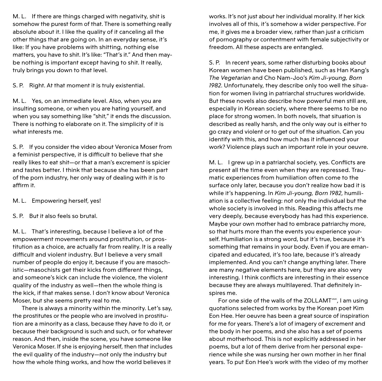M. L. If there are things charged with negativity, shit is somehow the purest form of that. There is something really absolute about it. I like the quality of it canceling all the other things that are going on. In an everyday sense, it's like: If you have problems with shitting, nothing else matters, you have to shit. It's like: "That's it." And then maybe nothing is important except having to shit. It really, truly brings you down to that level.

S. P. Right. At that moment it is truly existential.

M. L. Yes, on an immediate level. Also, when you are insulting someone, or when you are hating yourself, and when you say something like "shit," it ends the discussion. There is nothing to elaborate on it. The simplicity of it is what interests me.

S. P. If you consider the video about Veronica Moser from a feminist perspective, it is difficult to believe that she really likes to eat shit—or that a man's excrement is spicier and tastes better. I think that because she has been part of the porn industry, her only way of dealing with it is to affirm it.

M. L. Empowering herself, yes!

S. P. But it also feels so brutal.

M. L. That's interesting, because I believe a lot of the empowerment movements around prostitution, or prostitution as a choice, are actually far from reality. It is a really difficult and violent industry. But I believe a very small number of people do enjoy it, because if you are masochistic—masochists get their kicks from different things, and someone's kick can include the violence, the violent quality of the industry as well—then the whole thing is the kick, if that makes sense. I don't know about Veronica Moser, but she seems pretty real to me.

There is always a minority within the minority. Let's say, the prostitutes or the people who are involved in prostitution are a minority as a class, because they *have* to do it, or because their background is such and such, or for whatever reason. And then, inside the scene, you have someone like Veronica Moser. If she is enjoying herself, then that includes the evil quality of the industry—not only the industry but how the whole thing works, and how the world believes it

works. It's not just about her individual morality. If her kick involves all of this, it's somehow a wider perspective. For me, it gives me a broader view, rather than just a criticism of pornography or contentment with female subjectivity or freedom. All these aspects are entangled.

S. P. In recent years, some rather disturbing books about Korean women have been published, such as Han Kang's *The Vegetarian* and Cho Nam-Joo's *Kim Ji-young, Born 1982*. Unfortunately, they describe only too well the situation for women living in patriarchal structures worldwide. But these novels also describe how powerful men still are, especially in Korean society, where there seems to be no place for strong women. In both novels, that situation is described as really harsh, and the only way out is either to go crazy and violent or to get out of the situation. Can you identify with this, and how much has it influenced your work? Violence plays such an important role in your oeuvre.

M. L. I grew up in a patriarchal society, yes. Conflicts are present all the time even when they are repressed. Traumatic experiences from humiliation often come to the surface only later, because you don't realize how bad it is while it's happening. In *Kim Ji-young, Born 1982*, humiliation is a collective feeling: not only the individual but the whole society is involved in this. Reading this affects me very deeply, because everybody has had this experience. Maybe your own mother had to embrace patriarchy more, so that hurts more than the events you experience yourself. Humiliation is a strong word, but it's true, because it's something that remains in your body. Even if you are emancipated and educated, it's too late, because it's already implemented. And you can't change anything later. There are many negative elements here, but they are also very interesting. I think conflicts are interesting in their essence because they are always multilayered. That definitely inspires me.

For one side of the walls of the ZOLLAMT<sup>MMK</sup>, I am using quotations selected from works by the Korean poet Kim Eon Hee. Her oeuvre has been a great source of inspiration for me for years. There's a lot of imagery of excrement and the body in her poems, and she also has a set of poems about motherhood. This is not explicitly addressed in her poems, but a lot of them derive from her personal experience while she was nursing her own mother in her final years. To put Eon Hee's work with the video of my mother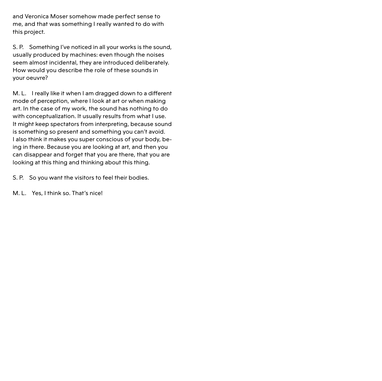and Veronica Moser somehow made perfect sense to me, and that was something I really wanted to do with this project.

S. P. Something I've noticed in all your works is the sound, usually produced by machines: even though the noises seem almost incidental, they are introduced deliberately. How would you describe the role of these sounds in your oeuvre?

M. L. I really like it when I am dragged down to a different mode of perception, where I look at art or when making art. In the case of my work, the sound has nothing to do with conceptualization. It usually results from what I use. It might keep spectators from interpreting, because sound is something so present and something you can't avoid. I also think it makes you super conscious of your body, being in there. Because you are looking at art, and then you can disappear and forget that you are there, that you are looking at this thing and thinking about this thing.

S. P. So you want the visitors to feel their bodies.

M. L. Yes, I think so. That's nice!